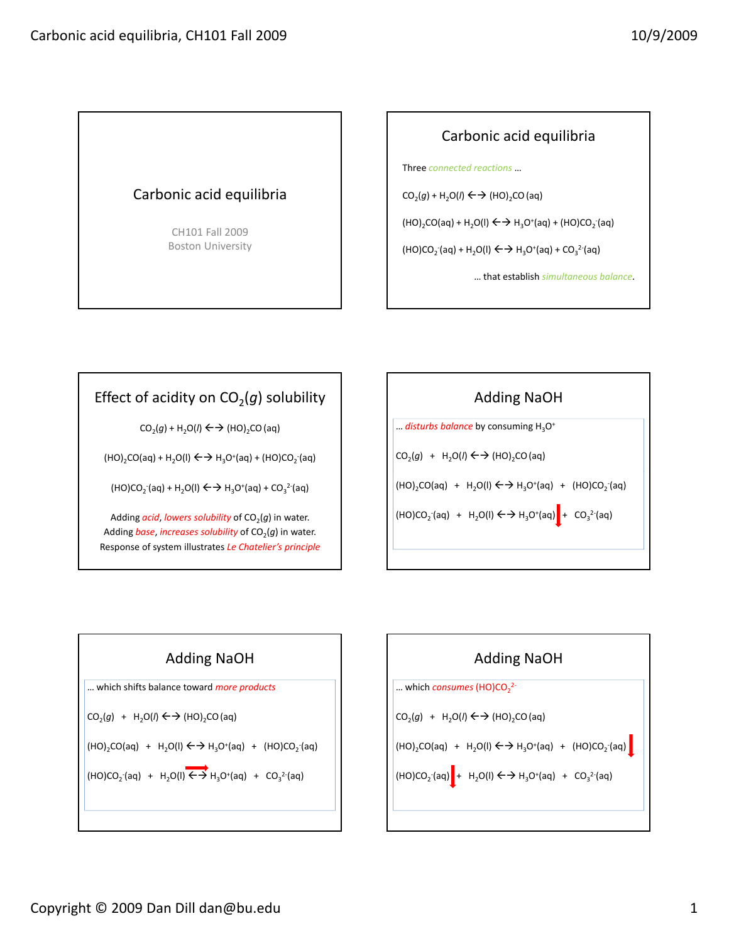## Carbonic acid equilibria

CH101 Fall 2009 Boston University

## Carbonic acid equilibria

Three *connected reactions* …

 $CO<sub>2</sub>(g) + H<sub>2</sub>O(l) \leftrightarrow H_2(O)_{2}CO (aq)$ 

 $(HO)_2CO(aq) + H_2O(I) \leftarrow \rightarrow H_3O^+(aq) + (HO)CO_2(aq)$ 

 $(HO)CO<sub>2</sub>(aq) + H<sub>2</sub>O(1) \leftrightarrow H<sub>3</sub>O<sup>+</sup>(aq) + CO<sub>3</sub><sup>2</sup>(aq)$ 

… that establish *simultaneous balance*.

## Effect of acidity on  $CO<sub>2</sub>(g)$  solubility

 $CO<sub>2</sub>(g) + H<sub>2</sub>O(l) \leftarrow \rightarrow (HO)<sub>2</sub>CO (aq)$ 

 $(HO)_2CO(aq) + H_2O(I) \leftarrow \rightarrow H_3O^+(aq) + (HO)CO_2(aq)$ 

 $(HO)CO<sub>2</sub>(aq) + H<sub>2</sub>O(1) \leftrightarrow H<sub>3</sub>O<sup>+</sup>(aq) + CO<sub>3</sub><sup>2</sup>(aq)$ 

Adding  $acid$ , lowers solubility of  $CO<sub>2</sub>(g)$  in water. Adding *base*, *increases solubility* of  $CO<sub>2</sub>(g)$  in water. Response of system illustrates *Le Chatelier's principle*





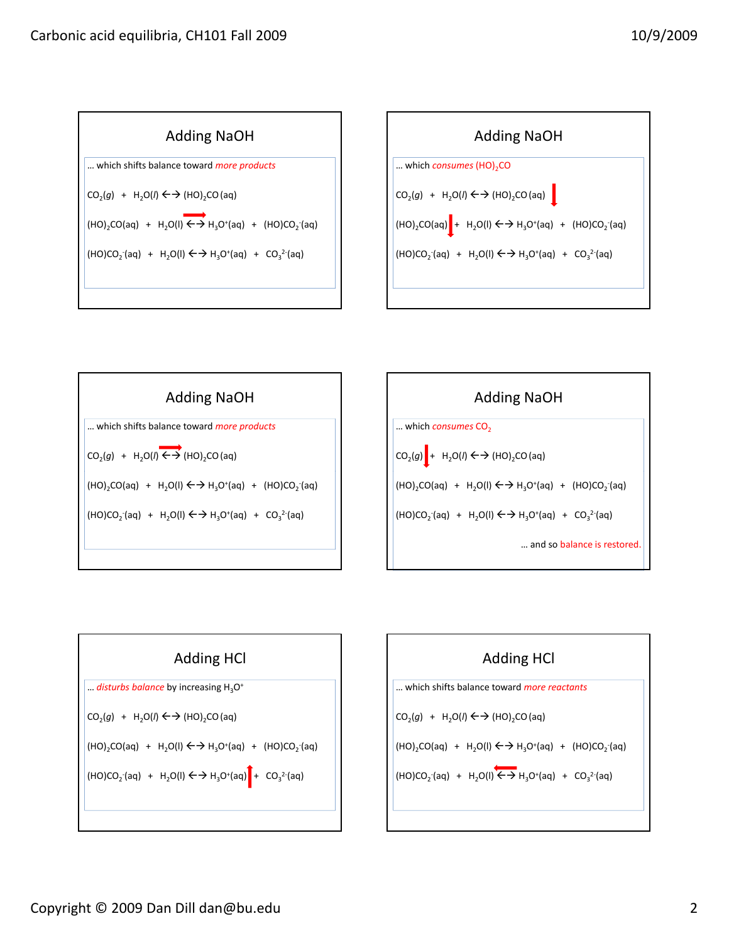